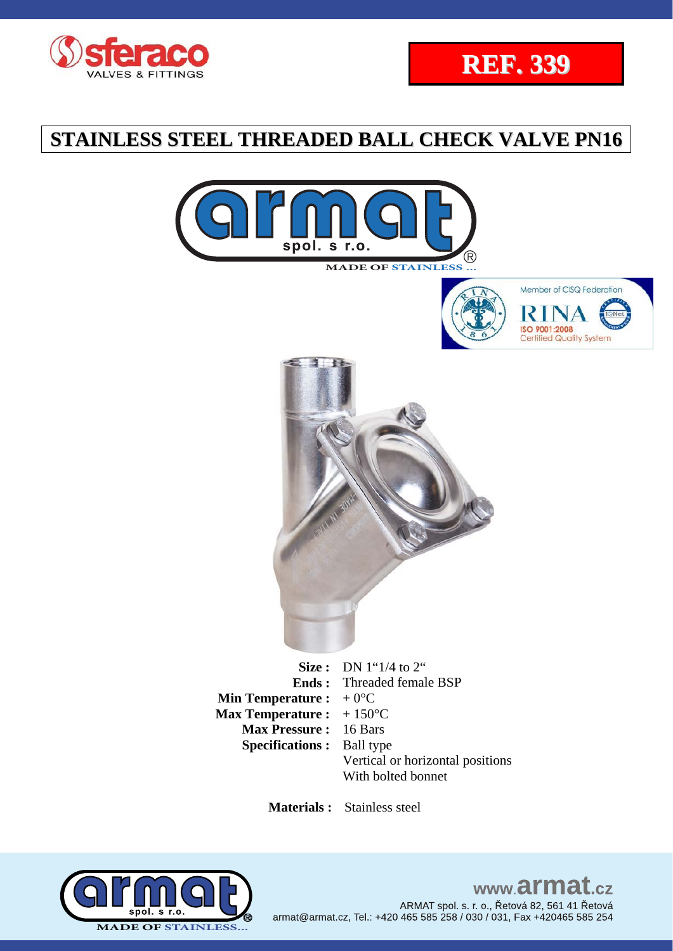











**Size :** DN 1"1/4 to 2" **Ends :**  Threaded female BSP **Min Temperature :**  $+0$ <sup>o</sup>C **Max Temperature :**  $+150^{\circ}C$ **Max Pressure :** 16 Bars **Specifications :** Ball type Vertical or horizontal positions With bolted bonnet

 **Materials :** Stainless steel



# www.armat.cz ARMAT spol. s. r. o., Řetová 82, 561 41 Řetová armat@armat.cz, Tel.: +420 465 585 258 / 030 / 031, Fax +420465 585 254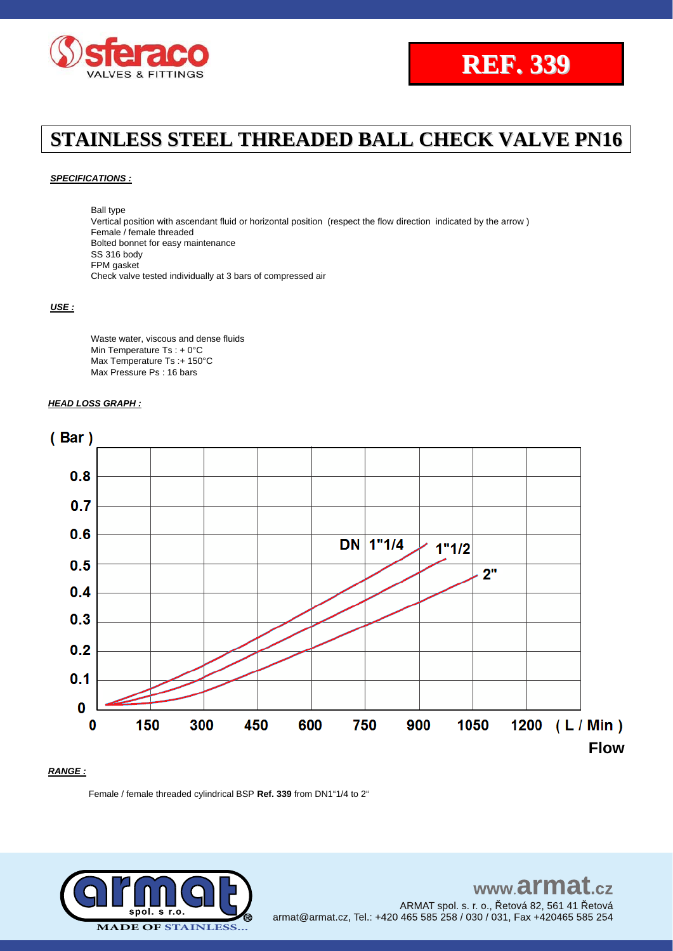

#### *SPECIFICATIONS :*

Ball type Vertical position with ascendant fluid or horizontal position (respect the flow direction indicated by the arrow ) Female / female threaded Bolted bonnet for easy maintenance SS 316 body FPM gasket Check valve tested individually at 3 bars of compressed air

#### *USE :*

Waste water, viscous and dense fluids Min Temperature Ts : + 0°C Max Temperature Ts :+ 150°C Max Pressure Ps : 16 bars

### *HEAD LOSS GRAPH :*



### *RANGE :*

Female / female threaded cylindrical BSP **Ref. 339** from DN1"1/4 to 2"

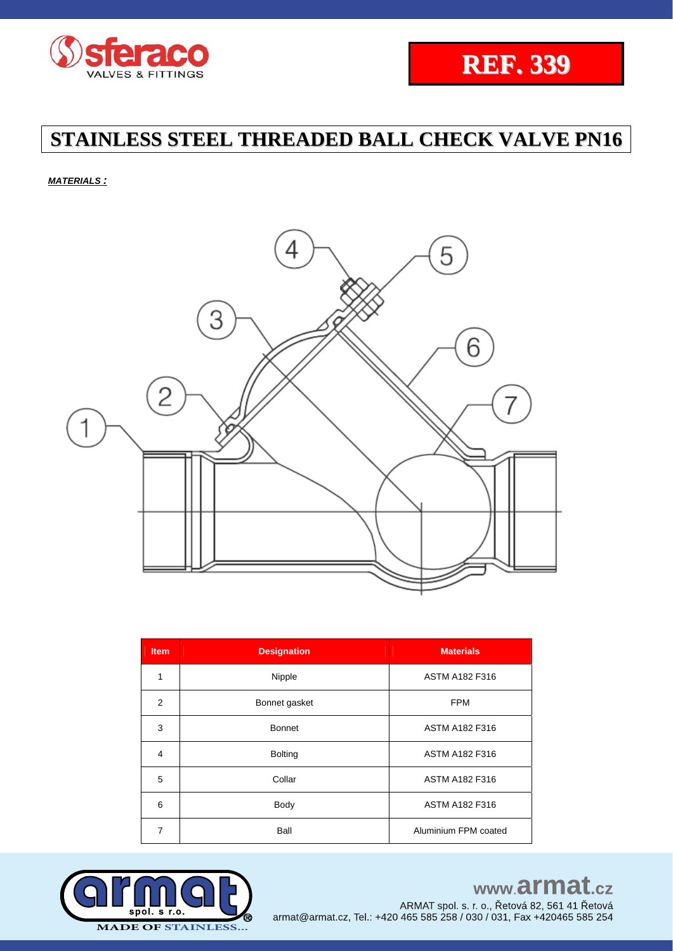



*MATERIALS :*



| Item           | <b>Designation</b>              | <b>Materials</b>      |  |
|----------------|---------------------------------|-----------------------|--|
| $\mathbf{1}$   | Nipple                          | <b>ASTM A182 F316</b> |  |
| 2              | Bonnet gasket                   | <b>FPM</b>            |  |
| 3              | <b>Bonnet</b>                   | <b>ASTM A182 F316</b> |  |
| 4              | <b>Bolting</b>                  | <b>ASTM A182 F316</b> |  |
| 5              | Collar<br><b>ASTM A182 F316</b> |                       |  |
| 6              | Body                            | <b>ASTM A182 F316</b> |  |
| $\overline{7}$ | Ball                            | Aluminium FPM coated  |  |



# www.armat.cz

ARMAT spol. s. r. o., Řetová 82, 561 41 Řetová armat@armat.cz, Tel.: +420 465 585 258 / 030 / 031, Fax +420465 585 254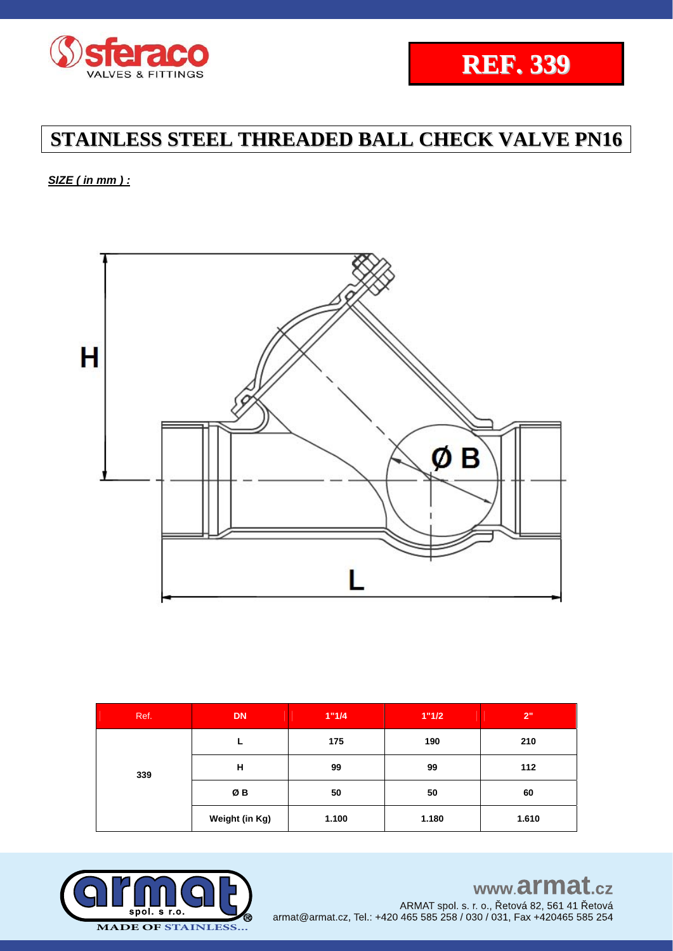



*SIZE ( in mm ) :* 



| Ref. | <b>DN</b>      | 1"1/4 | 1"1/2 | 2"    |
|------|----------------|-------|-------|-------|
|      |                | 175   | 190   | 210   |
| 339  | Н              | 99    | 99    | 112   |
|      | ØΒ             | 50    | 50    | 60    |
|      | Weight (in Kg) | 1.100 | 1.180 | 1.610 |



www.armat.cz

ARMAT spol. s. r. o., Řetová 82, 561 41 Řetová armat@armat.cz, Tel.: +420 465 585 258 / 030 / 031, Fax +420465 585 254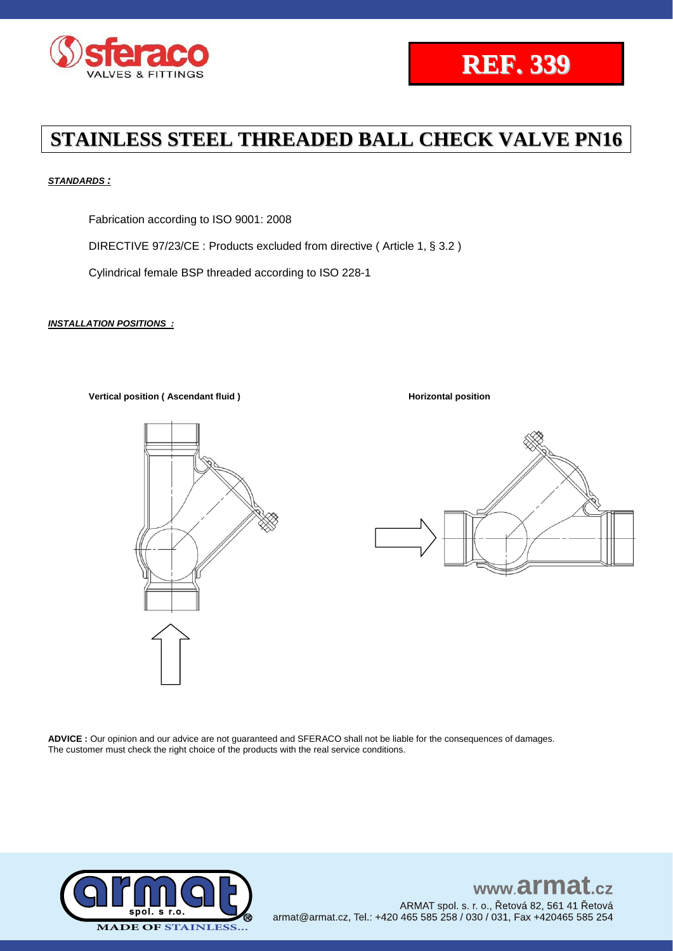



### *STANDARDS :*

Fabrication according to ISO 9001: 2008

DIRECTIVE 97/23/CE : Products excluded from directive ( Article 1, § 3.2 )

Cylindrical female BSP threaded according to ISO 228-1

#### *INSTALLATION POSITIONS :*

**Vertical position (** Ascendant fluid ) **Assumed 2 and 2 and 2 and 2 and 2 and 2 and 2 and 2 and 2 and 2 and 2 and 2 and 2 and 2 and 2 and 2 and 2 and 2 and 2 and 2 and 2 and 2 and 2 and 2 and 2 and 2 and 2 and 2 and 2 and** 





**ADVICE :** Our opinion and our advice are not guaranteed and SFERACO shall not be liable for the consequences of damages. The customer must check the right choice of the products with the real service conditions.



www.armat.  $c\overline{z}$ ARMAT spol. s. r. o., Řetová 82, 561 41 Řetová armat@armat.cz, Tel.: +420 465 585 258 / 030 / 031, Fax +420465 585 254